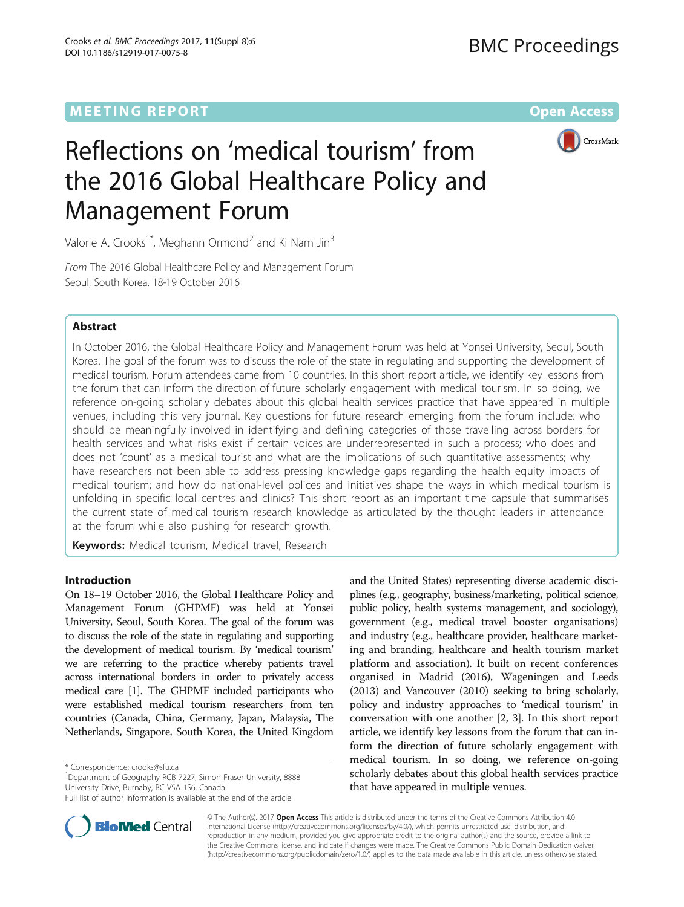# MEETING REPORT AND RESERVE THE SERVE TO A SERVE THE SERVE TO A SERVE THE SERVE TO A SERVE THE SERVE TO A SERVE



# Reflections on 'medical tourism' from the 2016 Global Healthcare Policy and Management Forum

Valorie A. Crooks<sup>1\*</sup>, Meghann Ormond<sup>2</sup> and Ki Nam Jin<sup>3</sup>

From The 2016 Global Healthcare Policy and Management Forum Seoul, South Korea. 18-19 October 2016

## Abstract

In October 2016, the Global Healthcare Policy and Management Forum was held at Yonsei University, Seoul, South Korea. The goal of the forum was to discuss the role of the state in regulating and supporting the development of medical tourism. Forum attendees came from 10 countries. In this short report article, we identify key lessons from the forum that can inform the direction of future scholarly engagement with medical tourism. In so doing, we reference on-going scholarly debates about this global health services practice that have appeared in multiple venues, including this very journal. Key questions for future research emerging from the forum include: who should be meaningfully involved in identifying and defining categories of those travelling across borders for health services and what risks exist if certain voices are underrepresented in such a process; who does and does not 'count' as a medical tourist and what are the implications of such quantitative assessments; why have researchers not been able to address pressing knowledge gaps regarding the health equity impacts of medical tourism; and how do national-level polices and initiatives shape the ways in which medical tourism is unfolding in specific local centres and clinics? This short report as an important time capsule that summarises the current state of medical tourism research knowledge as articulated by the thought leaders in attendance at the forum while also pushing for research growth.

Keywords: Medical tourism, Medical travel, Research

## Introduction

On 18–19 October 2016, the Global Healthcare Policy and Management Forum (GHPMF) was held at Yonsei University, Seoul, South Korea. The goal of the forum was to discuss the role of the state in regulating and supporting the development of medical tourism. By 'medical tourism' we are referring to the practice whereby patients travel across international borders in order to privately access medical care [[1](#page-3-0)]. The GHPMF included participants who were established medical tourism researchers from ten countries (Canada, China, Germany, Japan, Malaysia, The Netherlands, Singapore, South Korea, the United Kingdom

**BioMed Central** 

<sup>1</sup> Department of Geography RCB 7227, Simon Fraser University, 8888 University Drive, Burnaby, BC V5A 1S6, Canada

Full list of author information is available at the end of the article



© The Author(s). 2017 **Open Access** This article is distributed under the terms of the Creative Commons Attribution 4.0 International License [\(http://creativecommons.org/licenses/by/4.0/](http://creativecommons.org/licenses/by/4.0/)), which permits unrestricted use, distribution, and reproduction in any medium, provided you give appropriate credit to the original author(s) and the source, provide a link to the Creative Commons license, and indicate if changes were made. The Creative Commons Public Domain Dedication waiver [\(http://creativecommons.org/publicdomain/zero/1.0/](http://creativecommons.org/publicdomain/zero/1.0/)) applies to the data made available in this article, unless otherwise stated.

<sup>\*</sup> Correspondence: [crooks@sfu.ca](mailto:crooks@sfu.ca) <sup>1</sup>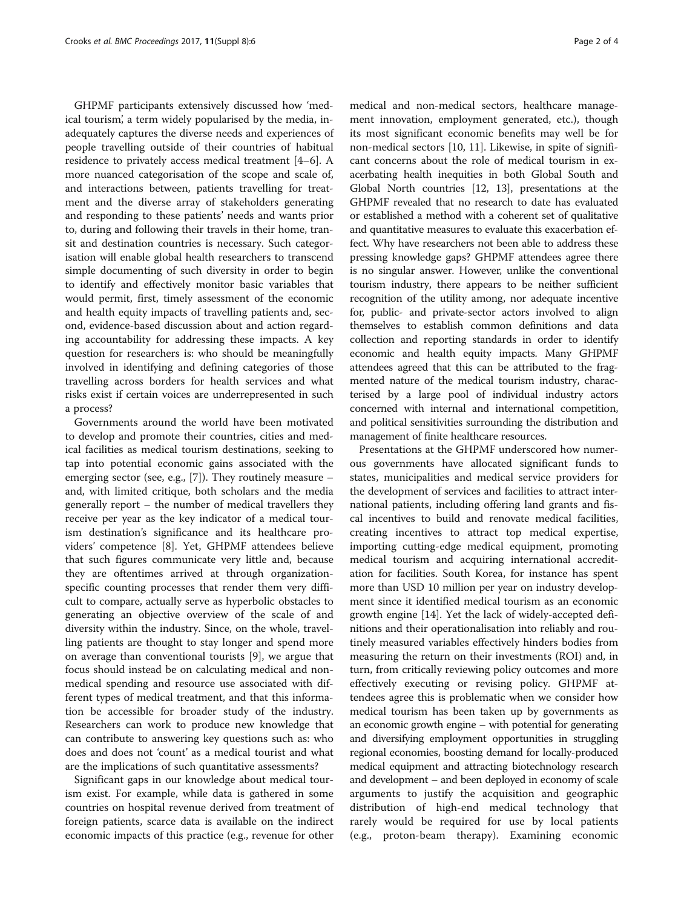GHPMF participants extensively discussed how 'medical tourism', a term widely popularised by the media, inadequately captures the diverse needs and experiences of people travelling outside of their countries of habitual residence to privately access medical treatment [\[4](#page-3-0)–[6\]](#page-3-0). A more nuanced categorisation of the scope and scale of, and interactions between, patients travelling for treatment and the diverse array of stakeholders generating and responding to these patients' needs and wants prior to, during and following their travels in their home, transit and destination countries is necessary. Such categorisation will enable global health researchers to transcend simple documenting of such diversity in order to begin to identify and effectively monitor basic variables that would permit, first, timely assessment of the economic and health equity impacts of travelling patients and, second, evidence-based discussion about and action regarding accountability for addressing these impacts. A key question for researchers is: who should be meaningfully involved in identifying and defining categories of those travelling across borders for health services and what risks exist if certain voices are underrepresented in such a process?

Governments around the world have been motivated to develop and promote their countries, cities and medical facilities as medical tourism destinations, seeking to tap into potential economic gains associated with the emerging sector (see, e.g., [[7\]](#page-3-0)). They routinely measure – and, with limited critique, both scholars and the media generally report – the number of medical travellers they receive per year as the key indicator of a medical tourism destination's significance and its healthcare providers' competence [\[8](#page-3-0)]. Yet, GHPMF attendees believe that such figures communicate very little and, because they are oftentimes arrived at through organizationspecific counting processes that render them very difficult to compare, actually serve as hyperbolic obstacles to generating an objective overview of the scale of and diversity within the industry. Since, on the whole, travelling patients are thought to stay longer and spend more on average than conventional tourists [[9\]](#page-3-0), we argue that focus should instead be on calculating medical and nonmedical spending and resource use associated with different types of medical treatment, and that this information be accessible for broader study of the industry. Researchers can work to produce new knowledge that can contribute to answering key questions such as: who does and does not 'count' as a medical tourist and what are the implications of such quantitative assessments?

Significant gaps in our knowledge about medical tourism exist. For example, while data is gathered in some countries on hospital revenue derived from treatment of foreign patients, scarce data is available on the indirect economic impacts of this practice (e.g., revenue for other

medical and non-medical sectors, healthcare management innovation, employment generated, etc.), though its most significant economic benefits may well be for non-medical sectors [[10](#page-3-0), [11](#page-3-0)]. Likewise, in spite of significant concerns about the role of medical tourism in exacerbating health inequities in both Global South and Global North countries [\[12, 13\]](#page-3-0), presentations at the GHPMF revealed that no research to date has evaluated or established a method with a coherent set of qualitative and quantitative measures to evaluate this exacerbation effect. Why have researchers not been able to address these pressing knowledge gaps? GHPMF attendees agree there is no singular answer. However, unlike the conventional tourism industry, there appears to be neither sufficient recognition of the utility among, nor adequate incentive for, public- and private-sector actors involved to align themselves to establish common definitions and data collection and reporting standards in order to identify economic and health equity impacts. Many GHPMF attendees agreed that this can be attributed to the fragmented nature of the medical tourism industry, characterised by a large pool of individual industry actors concerned with internal and international competition, and political sensitivities surrounding the distribution and management of finite healthcare resources.

Presentations at the GHPMF underscored how numerous governments have allocated significant funds to states, municipalities and medical service providers for the development of services and facilities to attract international patients, including offering land grants and fiscal incentives to build and renovate medical facilities, creating incentives to attract top medical expertise, importing cutting-edge medical equipment, promoting medical tourism and acquiring international accreditation for facilities. South Korea, for instance has spent more than USD 10 million per year on industry development since it identified medical tourism as an economic growth engine [[14\]](#page-3-0). Yet the lack of widely-accepted definitions and their operationalisation into reliably and routinely measured variables effectively hinders bodies from measuring the return on their investments (ROI) and, in turn, from critically reviewing policy outcomes and more effectively executing or revising policy. GHPMF attendees agree this is problematic when we consider how medical tourism has been taken up by governments as an economic growth engine – with potential for generating and diversifying employment opportunities in struggling regional economies, boosting demand for locally-produced medical equipment and attracting biotechnology research and development – and been deployed in economy of scale arguments to justify the acquisition and geographic distribution of high-end medical technology that rarely would be required for use by local patients (e.g., proton-beam therapy). Examining economic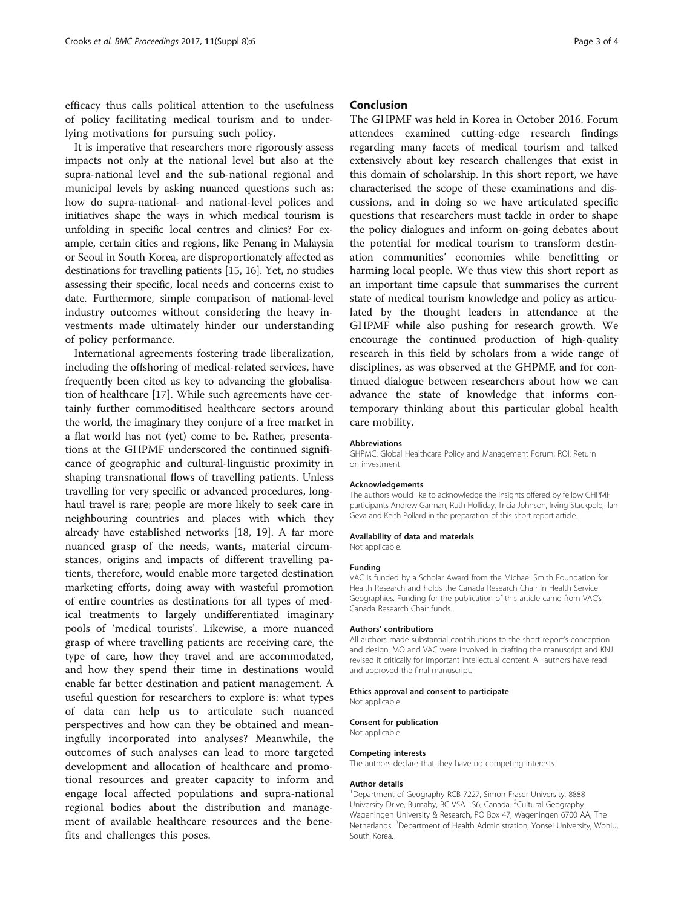efficacy thus calls political attention to the usefulness of policy facilitating medical tourism and to underlying motivations for pursuing such policy.

It is imperative that researchers more rigorously assess impacts not only at the national level but also at the supra-national level and the sub-national regional and municipal levels by asking nuanced questions such as: how do supra-national- and national-level polices and initiatives shape the ways in which medical tourism is unfolding in specific local centres and clinics? For example, certain cities and regions, like Penang in Malaysia or Seoul in South Korea, are disproportionately affected as destinations for travelling patients [\[15, 16](#page-3-0)]. Yet, no studies assessing their specific, local needs and concerns exist to date. Furthermore, simple comparison of national-level industry outcomes without considering the heavy investments made ultimately hinder our understanding of policy performance.

International agreements fostering trade liberalization, including the offshoring of medical-related services, have frequently been cited as key to advancing the globalisation of healthcare [\[17](#page-3-0)]. While such agreements have certainly further commoditised healthcare sectors around the world, the imaginary they conjure of a free market in a flat world has not (yet) come to be. Rather, presentations at the GHPMF underscored the continued significance of geographic and cultural-linguistic proximity in shaping transnational flows of travelling patients. Unless travelling for very specific or advanced procedures, longhaul travel is rare; people are more likely to seek care in neighbouring countries and places with which they already have established networks [[18, 19\]](#page-3-0). A far more nuanced grasp of the needs, wants, material circumstances, origins and impacts of different travelling patients, therefore, would enable more targeted destination marketing efforts, doing away with wasteful promotion of entire countries as destinations for all types of medical treatments to largely undifferentiated imaginary pools of 'medical tourists'. Likewise, a more nuanced grasp of where travelling patients are receiving care, the type of care, how they travel and are accommodated, and how they spend their time in destinations would enable far better destination and patient management. A useful question for researchers to explore is: what types of data can help us to articulate such nuanced perspectives and how can they be obtained and meaningfully incorporated into analyses? Meanwhile, the outcomes of such analyses can lead to more targeted development and allocation of healthcare and promotional resources and greater capacity to inform and engage local affected populations and supra-national regional bodies about the distribution and management of available healthcare resources and the benefits and challenges this poses.

## Conclusion

The GHPMF was held in Korea in October 2016. Forum attendees examined cutting-edge research findings regarding many facets of medical tourism and talked extensively about key research challenges that exist in this domain of scholarship. In this short report, we have characterised the scope of these examinations and discussions, and in doing so we have articulated specific questions that researchers must tackle in order to shape the policy dialogues and inform on-going debates about the potential for medical tourism to transform destination communities' economies while benefitting or harming local people. We thus view this short report as an important time capsule that summarises the current state of medical tourism knowledge and policy as articulated by the thought leaders in attendance at the GHPMF while also pushing for research growth. We encourage the continued production of high-quality research in this field by scholars from a wide range of disciplines, as was observed at the GHPMF, and for continued dialogue between researchers about how we can advance the state of knowledge that informs contemporary thinking about this particular global health care mobility.

#### Abbreviations

GHPMC: Global Healthcare Policy and Management Forum; ROI: Return on investment

#### Acknowledgements

The authors would like to acknowledge the insights offered by fellow GHPMF participants Andrew Garman, Ruth Holliday, Tricia Johnson, Irving Stackpole, Ilan Geva and Keith Pollard in the preparation of this short report article.

## Availability of data and materials

Not applicable.

#### Funding

VAC is funded by a Scholar Award from the Michael Smith Foundation for Health Research and holds the Canada Research Chair in Health Service Geographies. Funding for the publication of this article came from VAC's Canada Research Chair funds.

#### Authors' contributions

All authors made substantial contributions to the short report's conception and design. MO and VAC were involved in drafting the manuscript and KNJ revised it critically for important intellectual content. All authors have read and approved the final manuscript.

#### Ethics approval and consent to participate

Not applicable.

#### Consent for publication Not applicable.

## Competing interests

The authors declare that they have no competing interests.

#### Author details

<sup>1</sup>Department of Geography RCB 7227, Simon Fraser University, 8888 University Drive, Burnaby, BC V5A 1S6, Canada. <sup>2</sup>Cultural Geography Wageningen University & Research, PO Box 47, Wageningen 6700 AA, The Netherlands. <sup>3</sup>Department of Health Administration, Yonsei University, Wonju, South Korea.